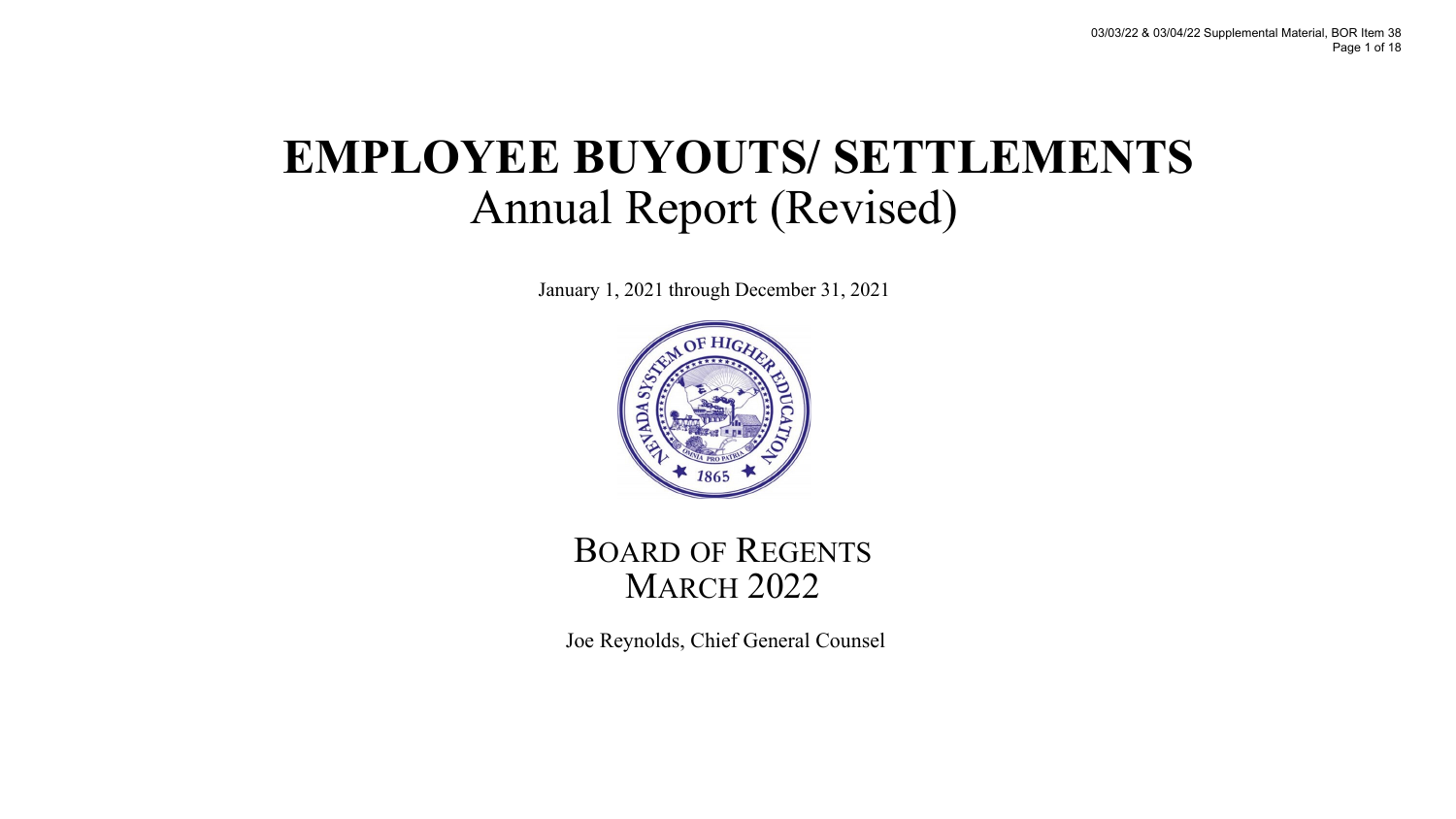## **EMPLOYEE BUYOUTS/ SETTLEMENTS** Annual Report (Revised)

January 1, 2021 through December 31, 2021



BOARD OF REGENTS **MARCH 2022** 

Joe Reynolds, Chief General Counsel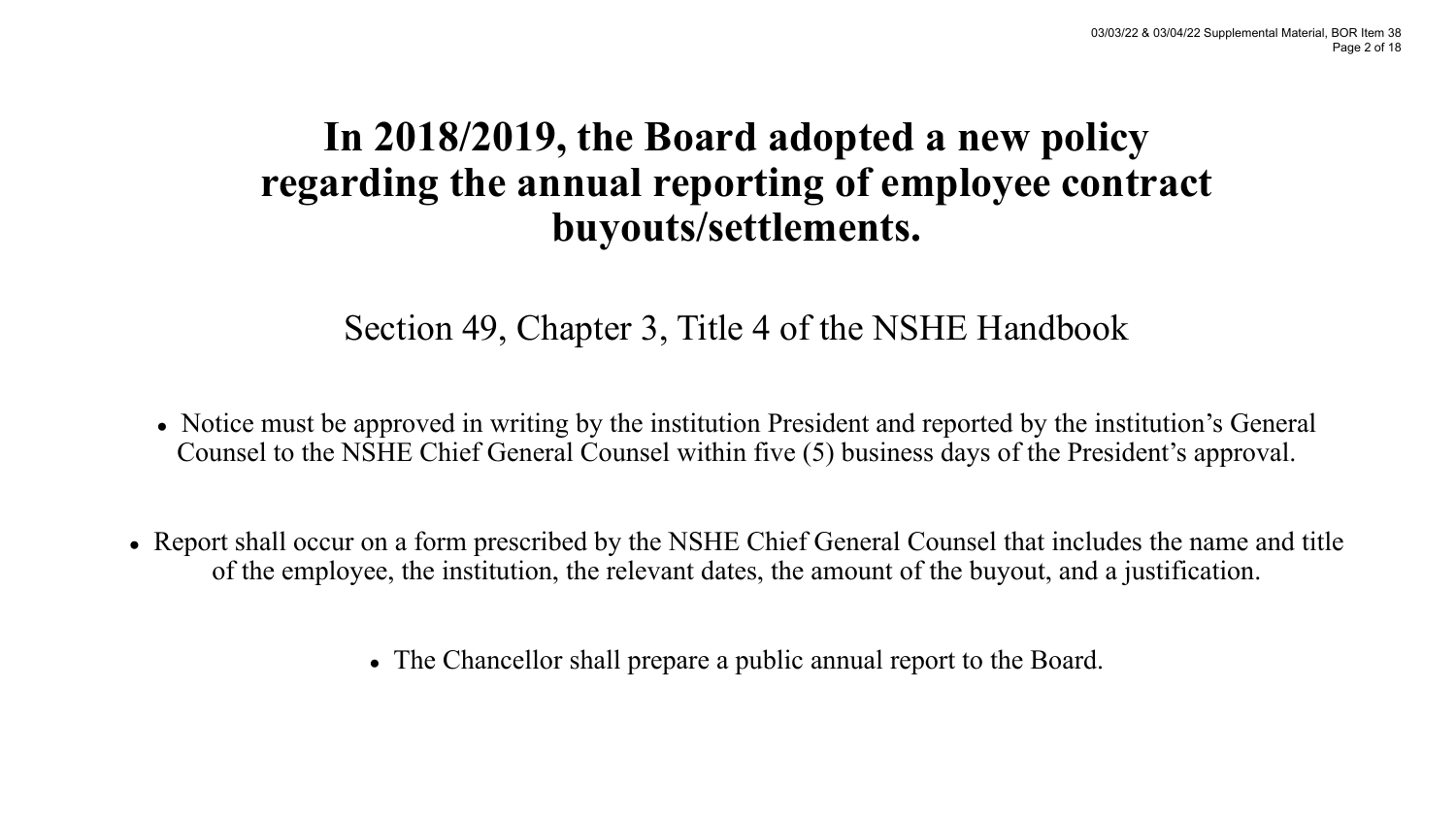### **In 2018/2019, the Board adopted a new policy regarding the annual reporting of employee contract buyouts/settlements.**

### Section 49, Chapter 3, Title 4 of the NSHE Handbook

- Notice must be approved in writing by the institution President and reported by the institution's General Counsel to the NSHE Chief General Counsel within five (5) business days of the President's approval.
- Report shall occur on a form prescribed by the NSHE Chief General Counsel that includes the name and title of the employee, the institution, the relevant dates, the amount of the buyout, and a justification.
	- The Chancellor shall prepare a public annual report to the Board.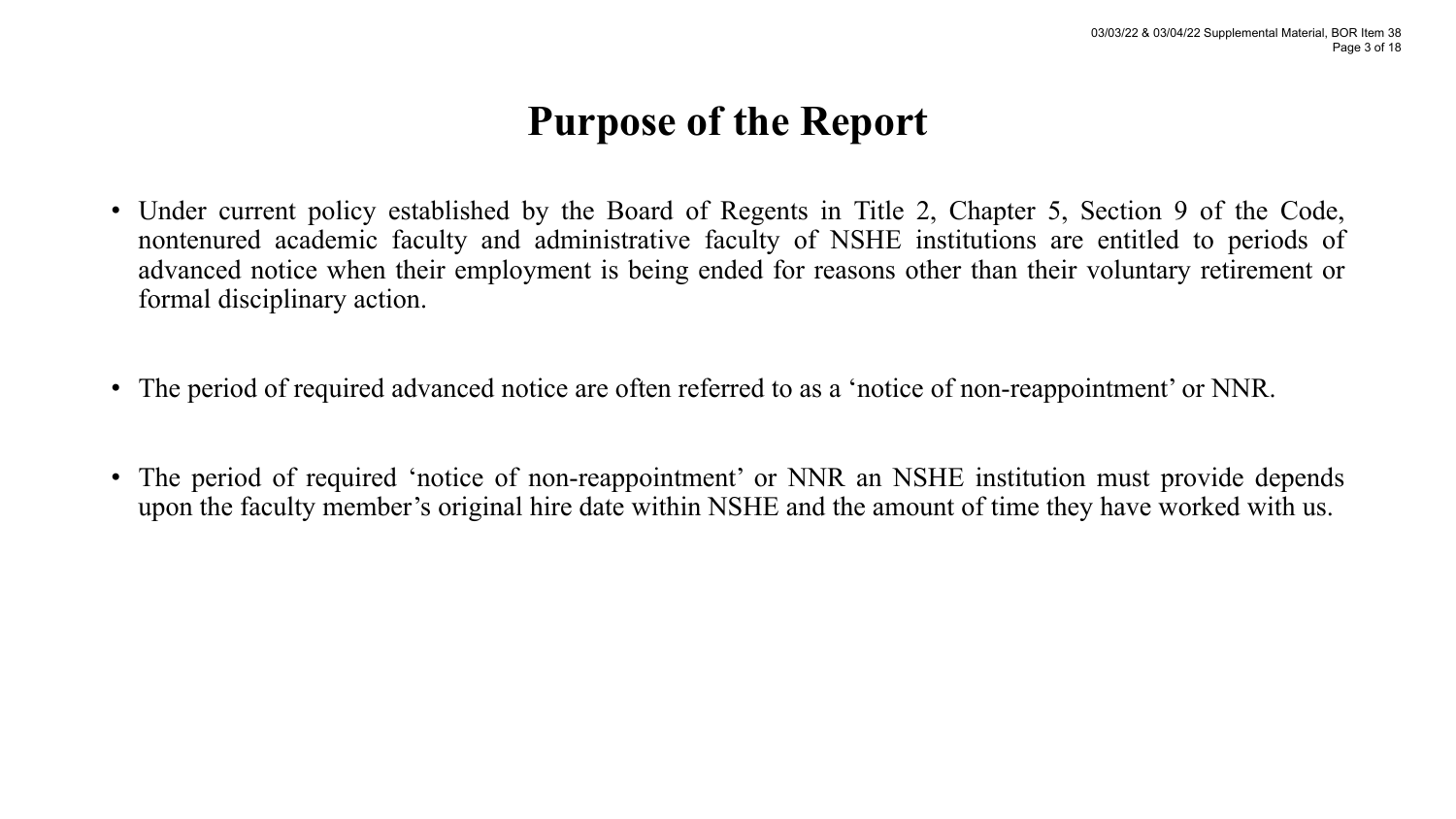### **Purpose of the Report**

- Under current policy established by the Board of Regents in Title 2, Chapter 5, Section 9 of the Code, nontenured academic faculty and administrative faculty of NSHE institutions are entitled to periods of advanced notice when their employment is being ended for reasons other than their voluntary retirement or formal disciplinary action.
- The period of required advanced notice are often referred to as a 'notice of non-reappointment' or NNR.
- The period of required 'notice of non-reappointment' or NNR an NSHE institution must provide depends upon the faculty member's original hire date within NSHE and the amount of time they have worked with us.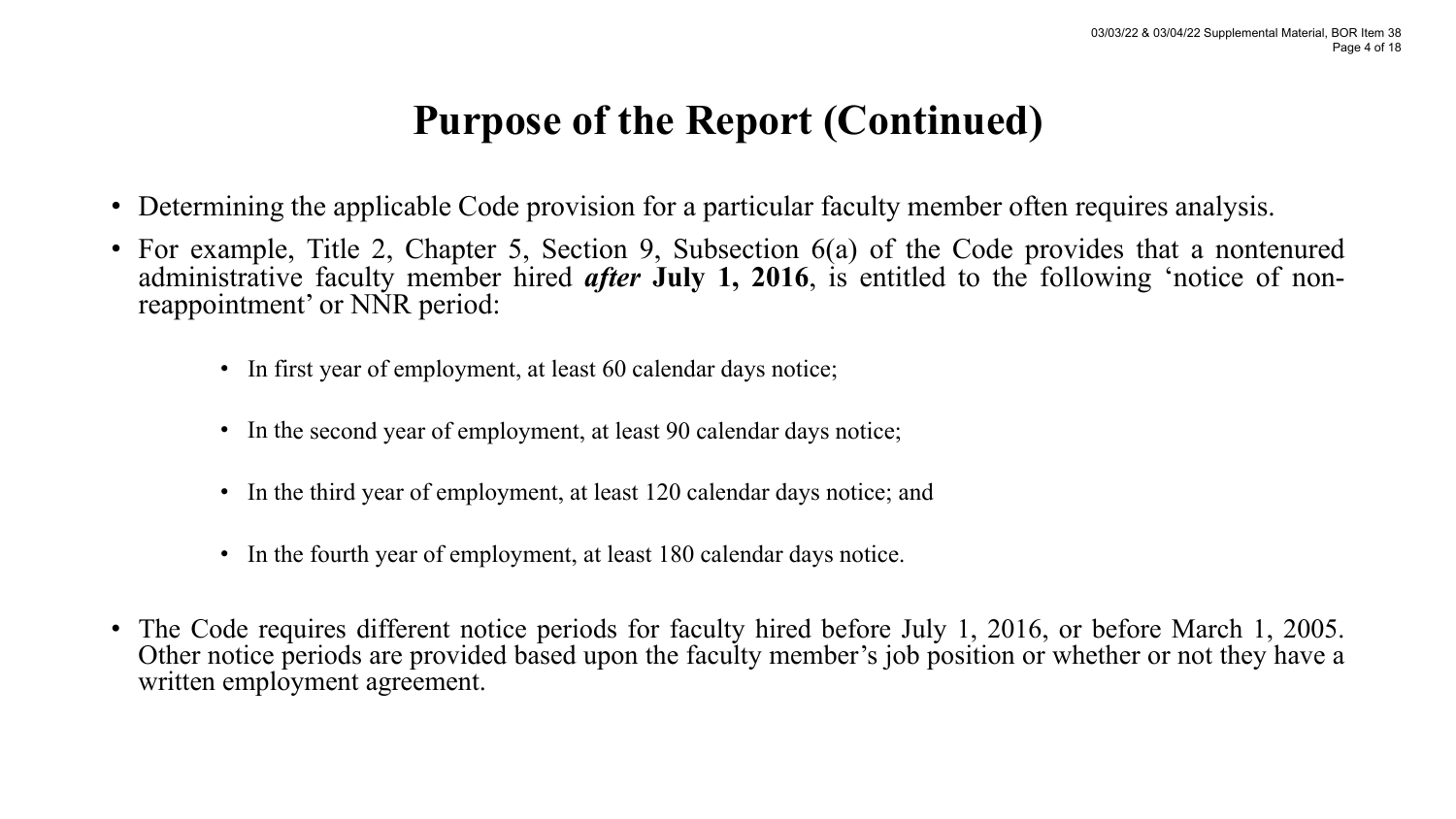### **Purpose of the Report (Continued)**

- Determining the applicable Code provision for a particular faculty member often requires analysis.
- For example, Title 2, Chapter 5, Section 9, Subsection 6(a) of the Code provides that a nontenured administrative faculty member hired *after* **July 1, <sup>2016</sup>**, is entitled to the following 'notice of non- reappointment' or NNR period:
	- In first year of employment, at least 60 calendar days notice;
	- In the second year of employment, at least 90 calendar days notice;
	- In the third year of employment, at least 120 calendar days notice; and
	- In the fourth year of employment, at least 180 calendar days notice.
- The Code requires different notice periods for faculty hired before July 1, 2016, or before March 1, 2005. Other notice periods are provided based upon the faculty member's job position or whether or not they have a written employment agreement.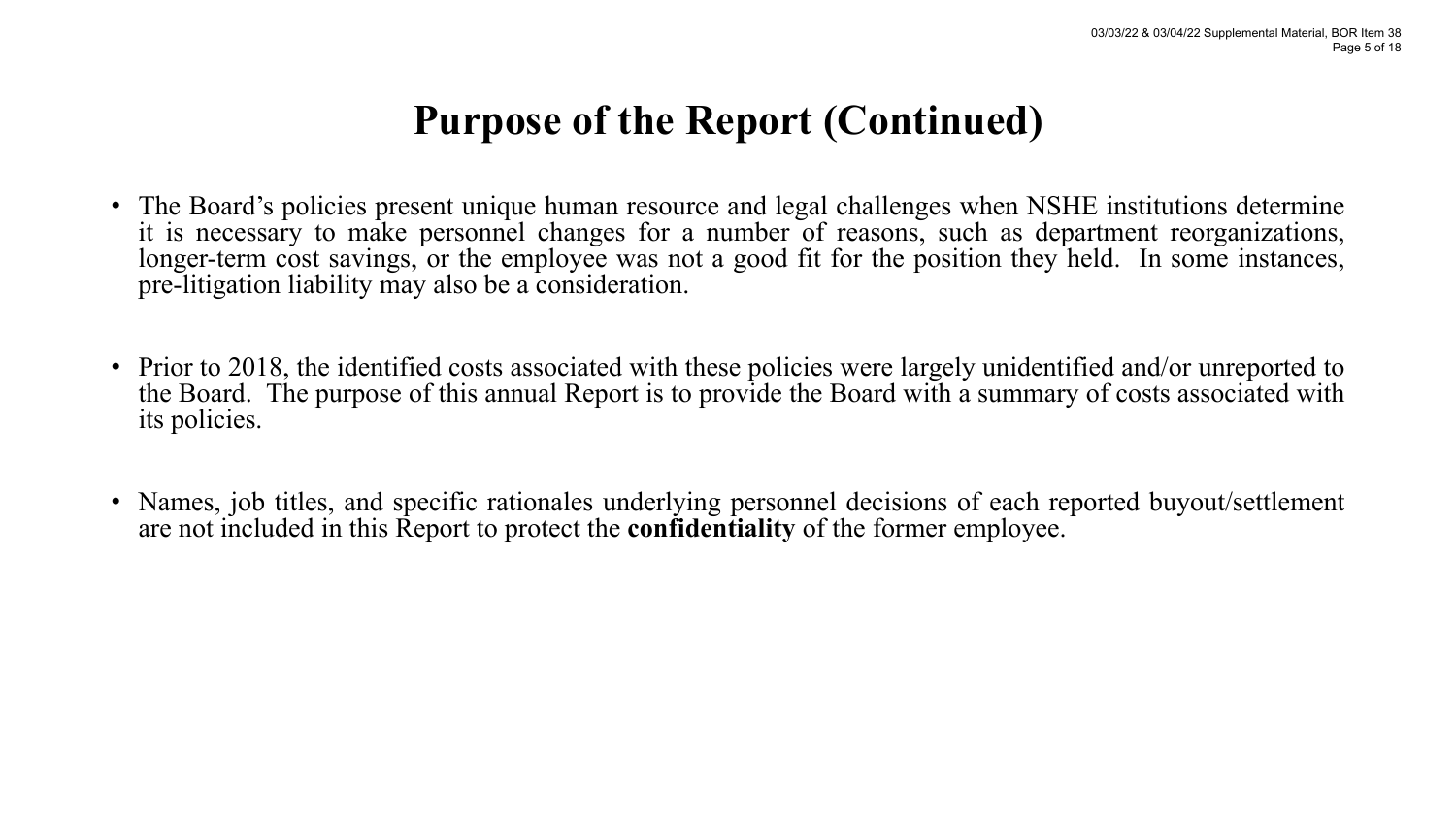### **Purpose of the Report (Continued)**

- The Board's policies present unique human resource and legal challenges when NSHE institutions determine it is necessary to make personnel changes for a number of reasons, such as department reorganizations, longer-term cost savings, or the employee was not a good fit for the position they held. In some instances, pre-litigation liability may also be a consideration.
- Prior to 2018, the identified costs associated with these policies were largely unidentified and/or unreported to the Board. The purpose of this annual Report is to provide the Board with a summary of costs associated with its policies.
- Names, job titles, and specific rationales underlying personnel decisions of each reported buyout/settlement are not included in this Report to protect the **confidentiality** of the former employee.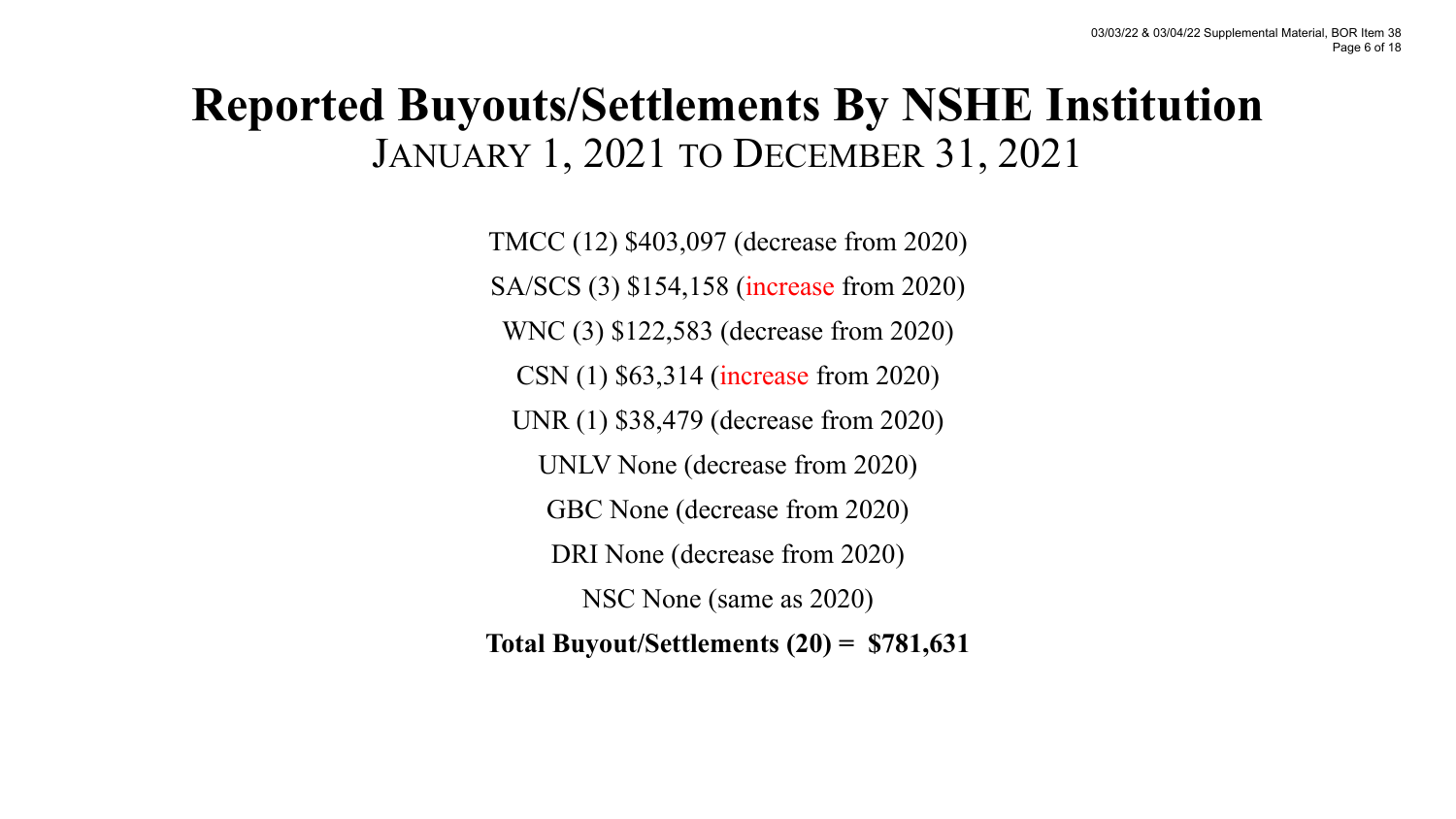### **Reported Buyouts/Settlements By NSHE Institution** JANUARY 1, 2021 TO DECEMBER 31, 2021

TMCC (12) \$403,097 (decrease from 2020) SA/SCS (3) \$154,158 (increase from 2020) WNC (3) \$122,583 (decrease from 2020) CSN (1) \$63,314 (increase from 2020) UNR (1) \$38,479 (decrease from 2020) UNLV None (decrease from 2020) GBC None (decrease from 2020) DRI None (decrease from 2020) NSC None (same as 2020) **Total Buyout/Settlements (20) = \$781,631**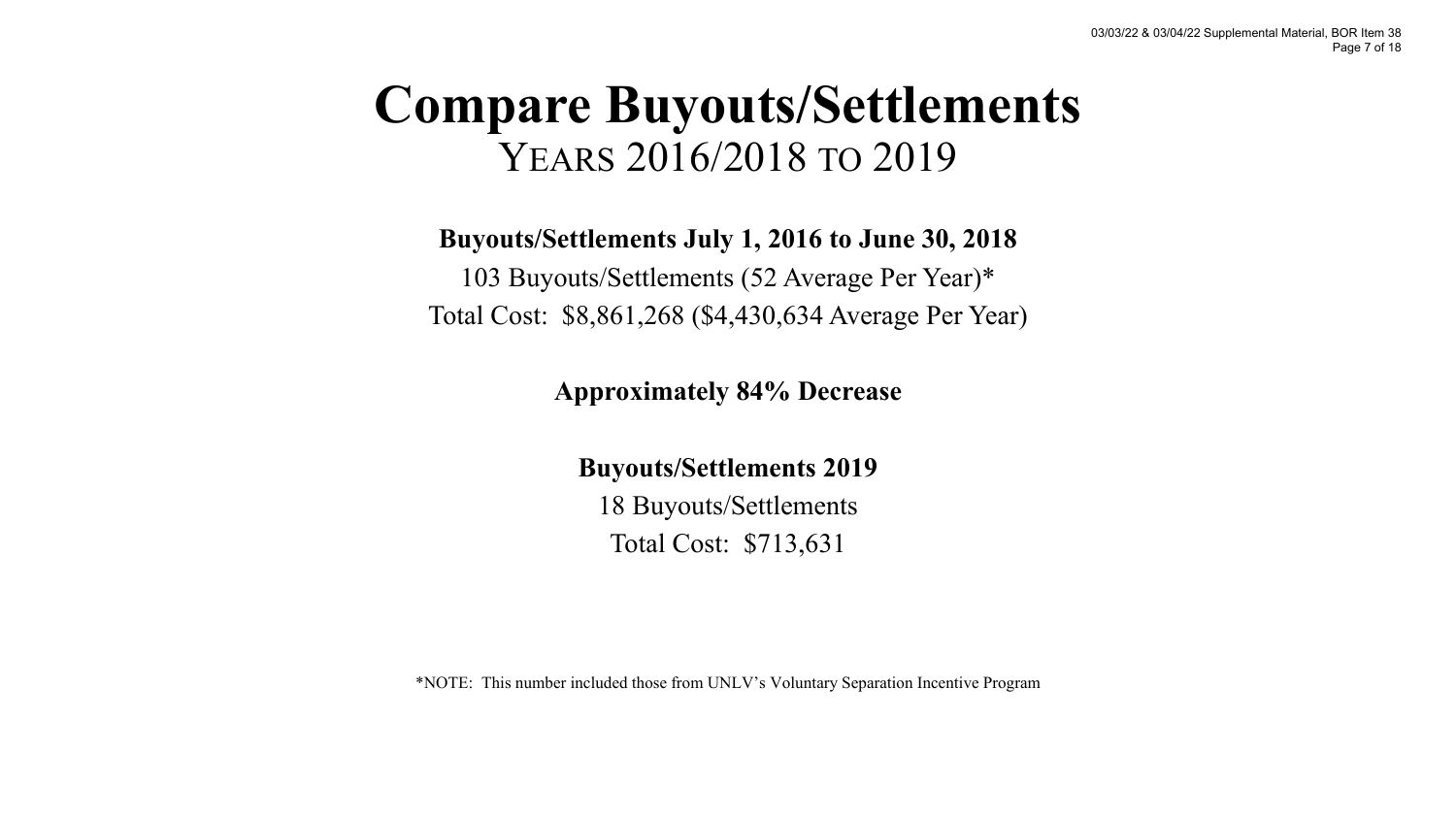## **Compare Buyouts/Settlements**  YEARS 2016/2018 TO 2019

### **Buyouts/Settlements July 1, 2016 to June 30, 2018**

103 Buyouts/Settlements (52 Average Per Year)\* Total Cost: \$8,861,268 (\$4,430,634 Average Per Year)

### **Approximately 84% Decrease**

#### **Buyouts/Settlements 2019**

18 Buyouts/Settlements Total Cost: \$713,631

\*NOTE: This number included those from UNLV's Voluntary Separation Incentive Program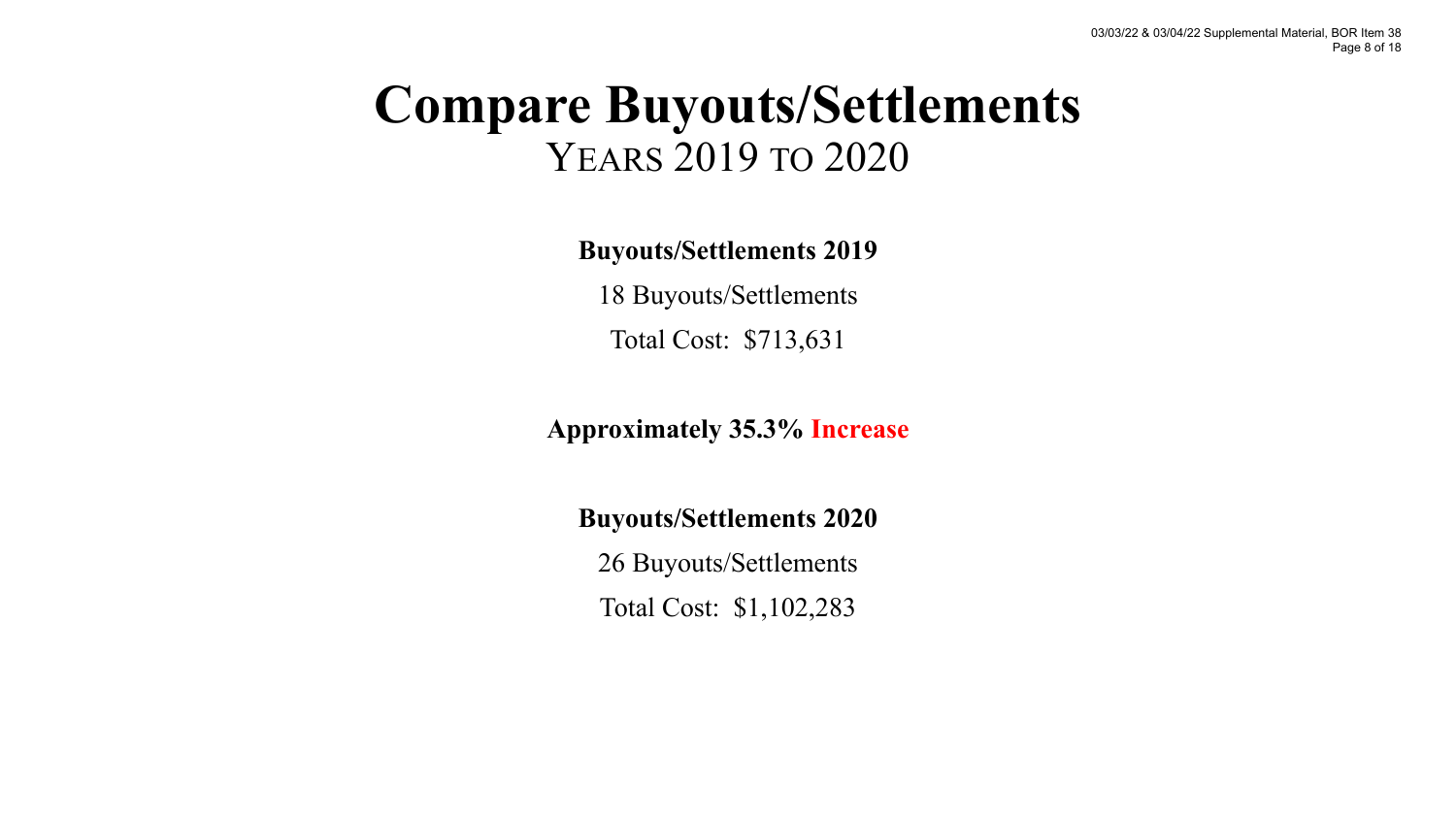## **Compare Buyouts/Settlements**  YEARS 2019 TO 2020

**Buyouts/Settlements 2019**

18 Buyouts/Settlements Total Cost: \$713,631

**Approximately 35.3% Increase** 

**Buyouts/Settlements 2020**

26 Buyouts/Settlements Total Cost: \$1,102,283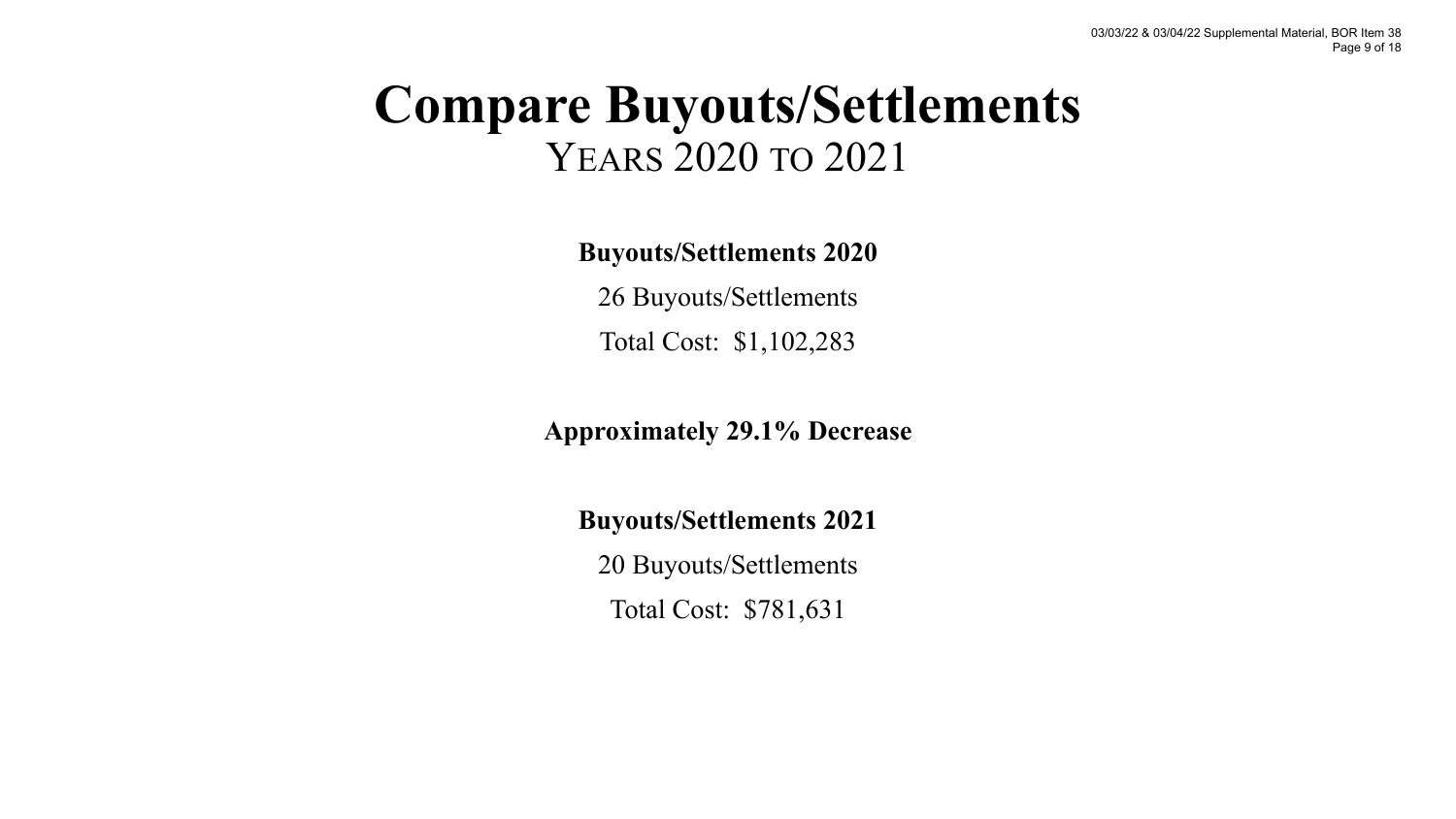## **Compare Buyouts/Settlements**  YEARS 2020 TO 2021

**Buyouts/Settlements 2020**

26 Buyouts/Settlements Total Cost: \$1,102,283

**Approximately 29.1% Decrease** 

**Buyouts/Settlements 2021**

20 Buyouts/Settlements Total Cost: \$781,631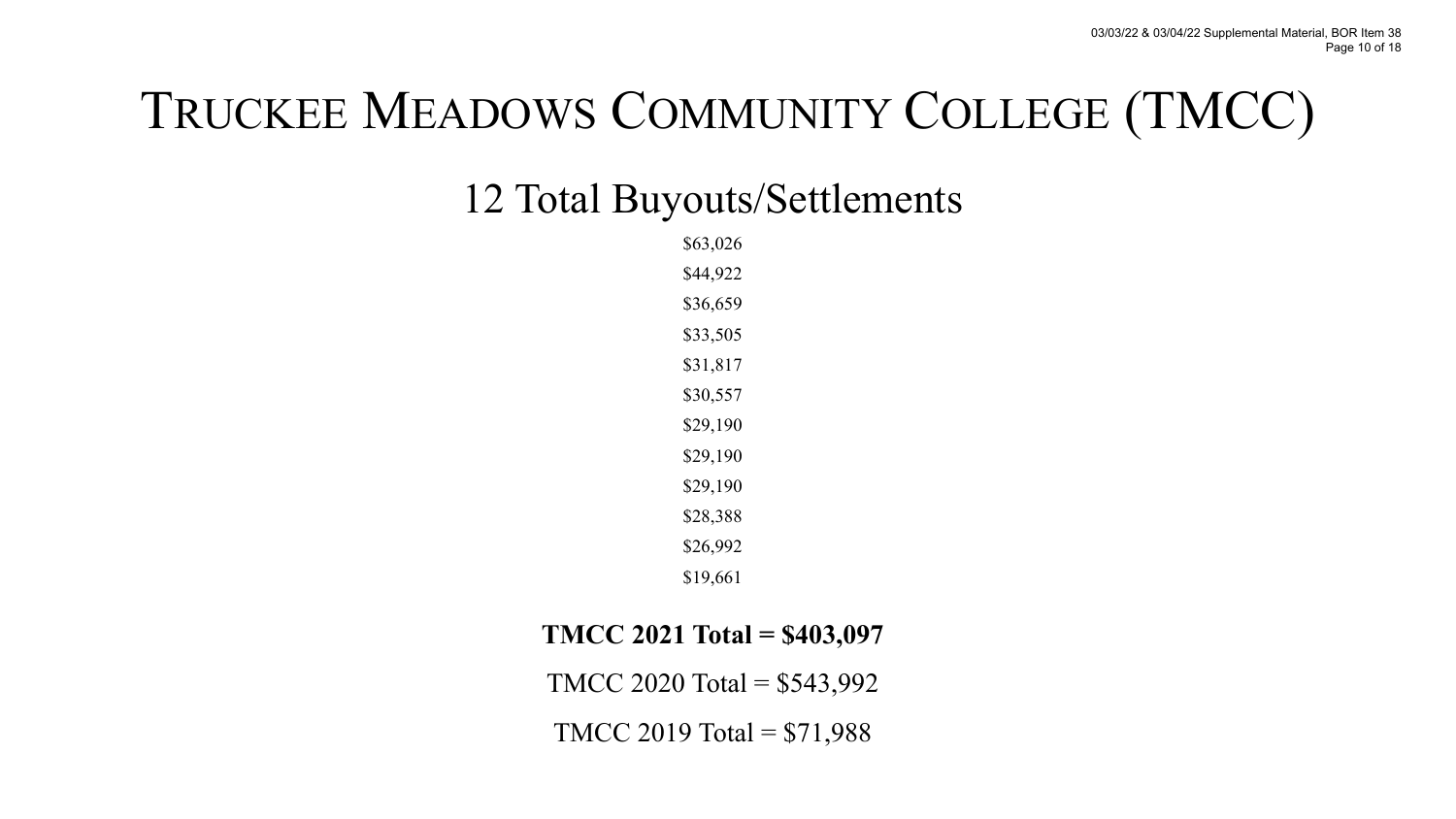# TRUCKEE MEADOWS COMMUNITY COLLEGE (TMCC)

### 12 Total Buyouts/Settlements

\$63,026 \$44,922 \$36,659 \$33,505 \$31,817 \$30,557 \$29,190 \$29,190 \$29,190 \$28,388 \$26,992 \$19,661

#### **TMCC 2021 Total = \$403,097**

TMCC 2020 Total = \$543,992

TMCC 2019 Total =  $$71,988$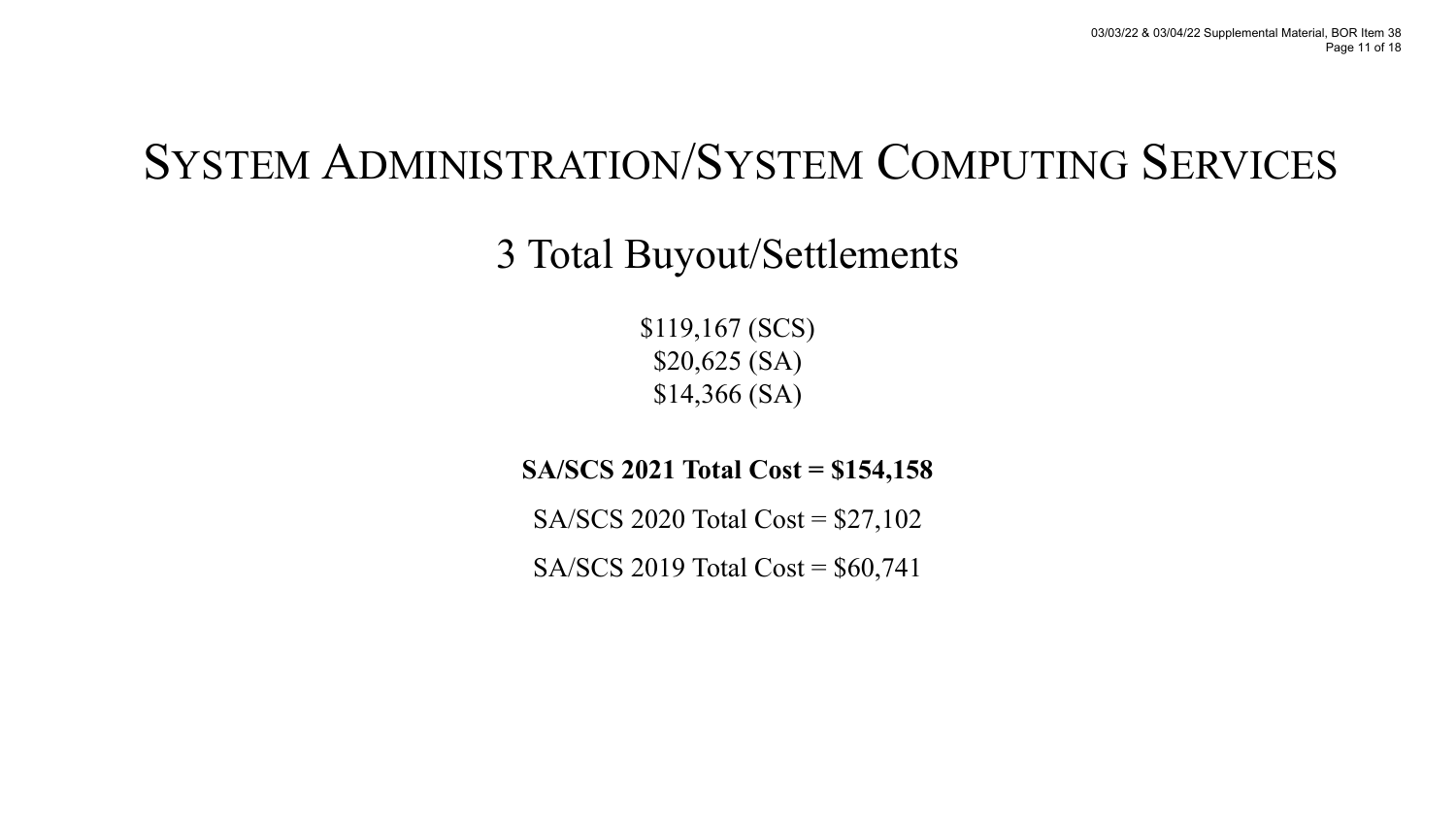## SYSTEM ADMINISTRATION/SYSTEM COMPUTING SERVICES

### 3 Total Buyout/Settlements

\$119,167 (SCS) \$20,625 (SA) \$14,366 (SA)

### **SA/SCS 2021 Total Cost = \$154,158**

SA/SCS 2020 Total Cost = \$27,102

SA/SCS 2019 Total Cost = \$60,741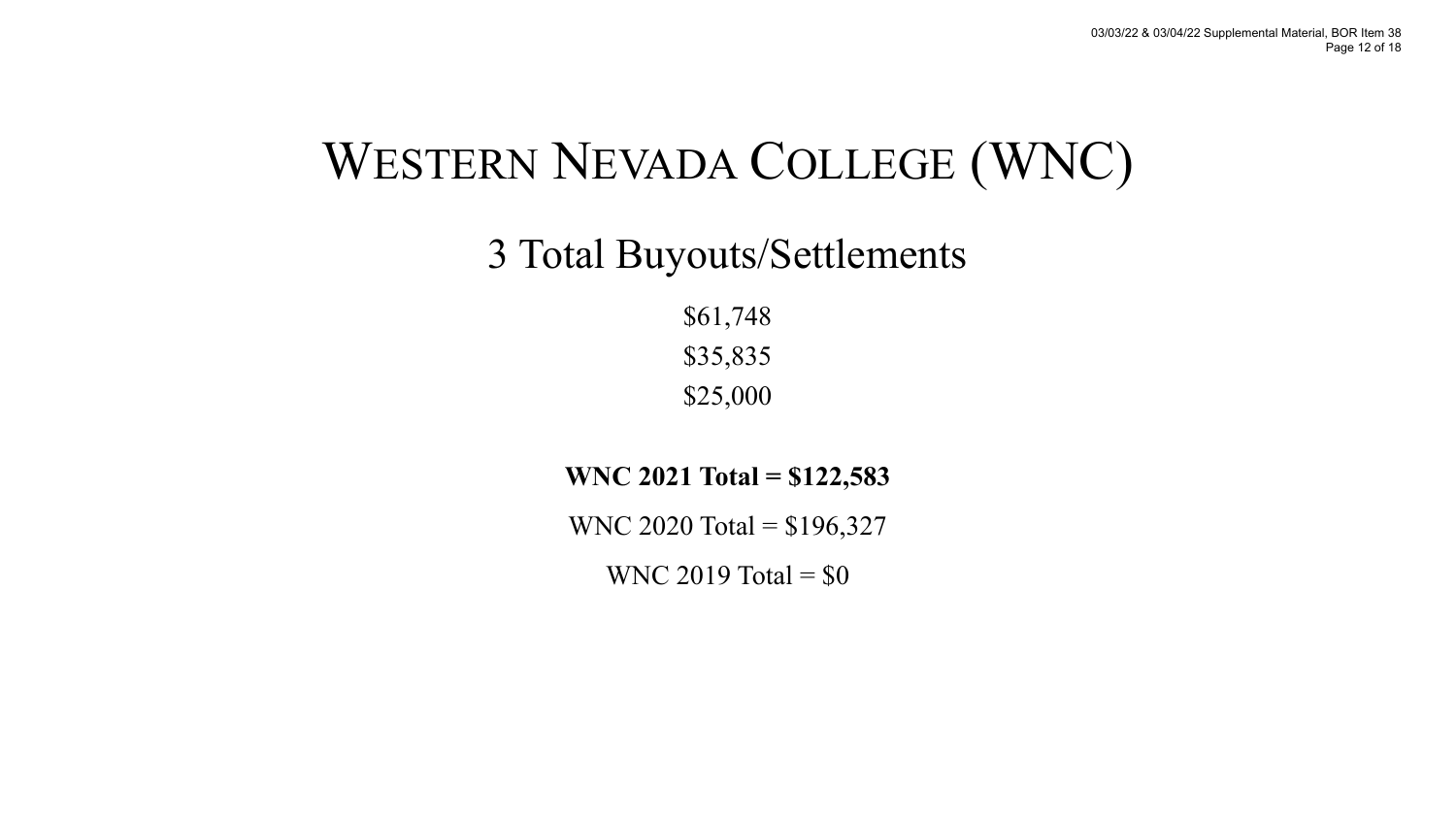# WESTERN NEVADA COLLEGE (WNC)

### 3 Total Buyouts/Settlements

\$61,748 \$35,835 \$25,000

**WNC 2021 Total = \$122,583**

WNC 2020 Total = \$196,327

WNC 2019 Total =  $$0$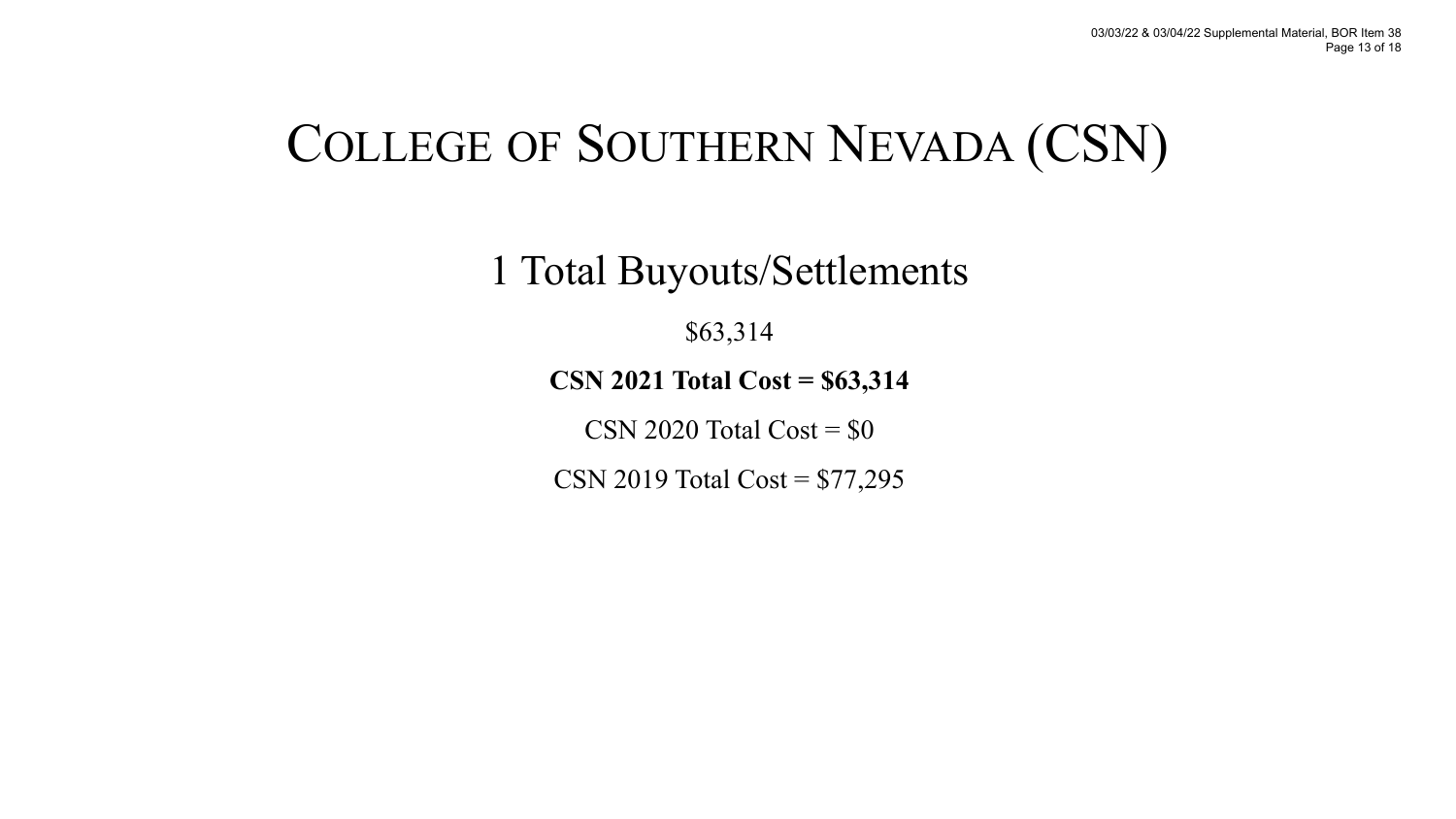# COLLEGE OF SOUTHERN NEVADA (CSN)

1 Total Buyouts/Settlements

\$63,314

**CSN 2021 Total Cost = \$63,314**

CSN 2020 Total Cost =  $$0$ 

CSN 2019 Total Cost = \$77,295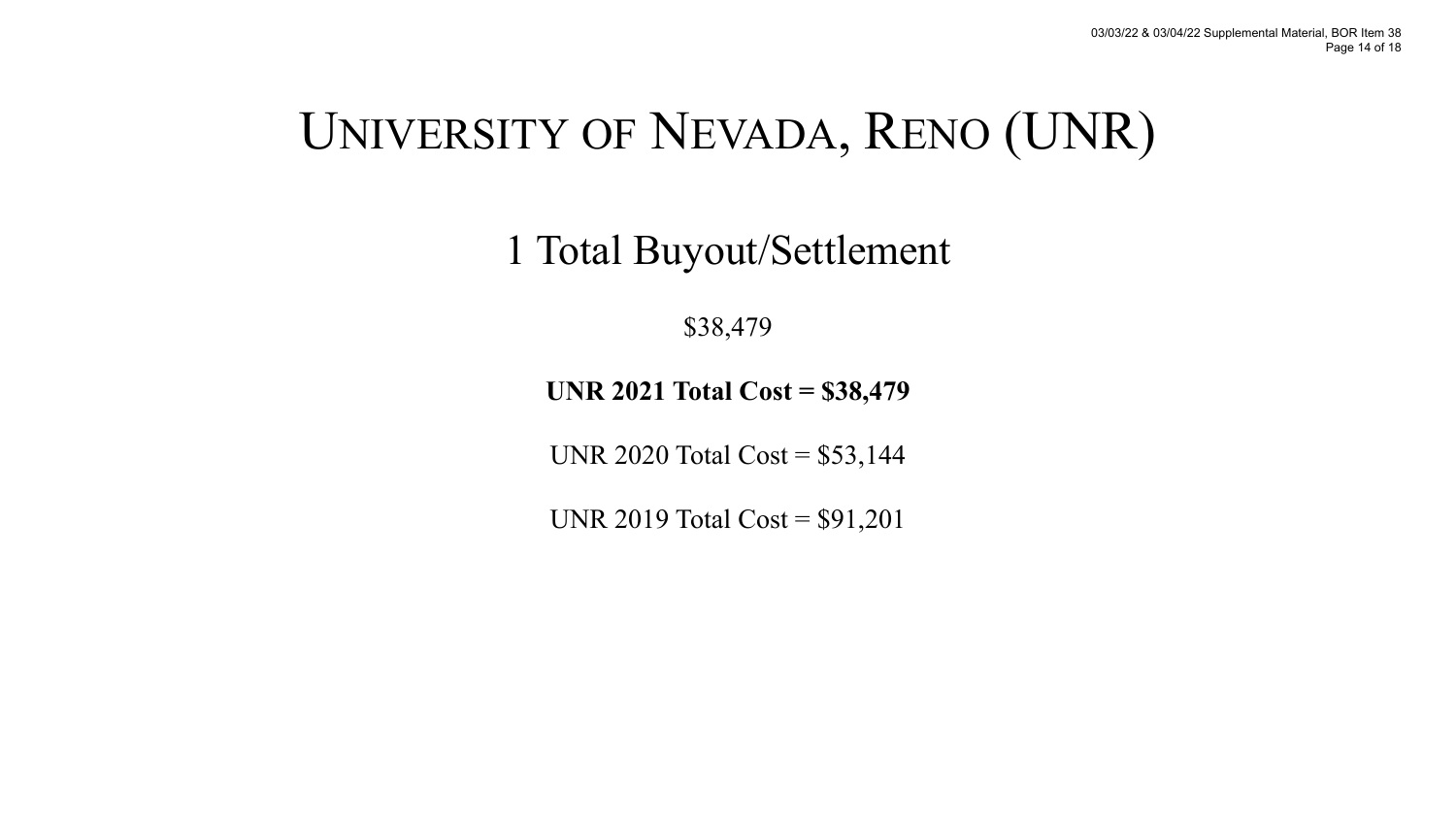# UNIVERSITY OF NEVADA, RENO (UNR)

1 Total Buyout/Settlement

\$38,479

**UNR 2021 Total Cost = \$38,479**

UNR 2020 Total Cost = \$53,144

UNR 2019 Total Cost = \$91,201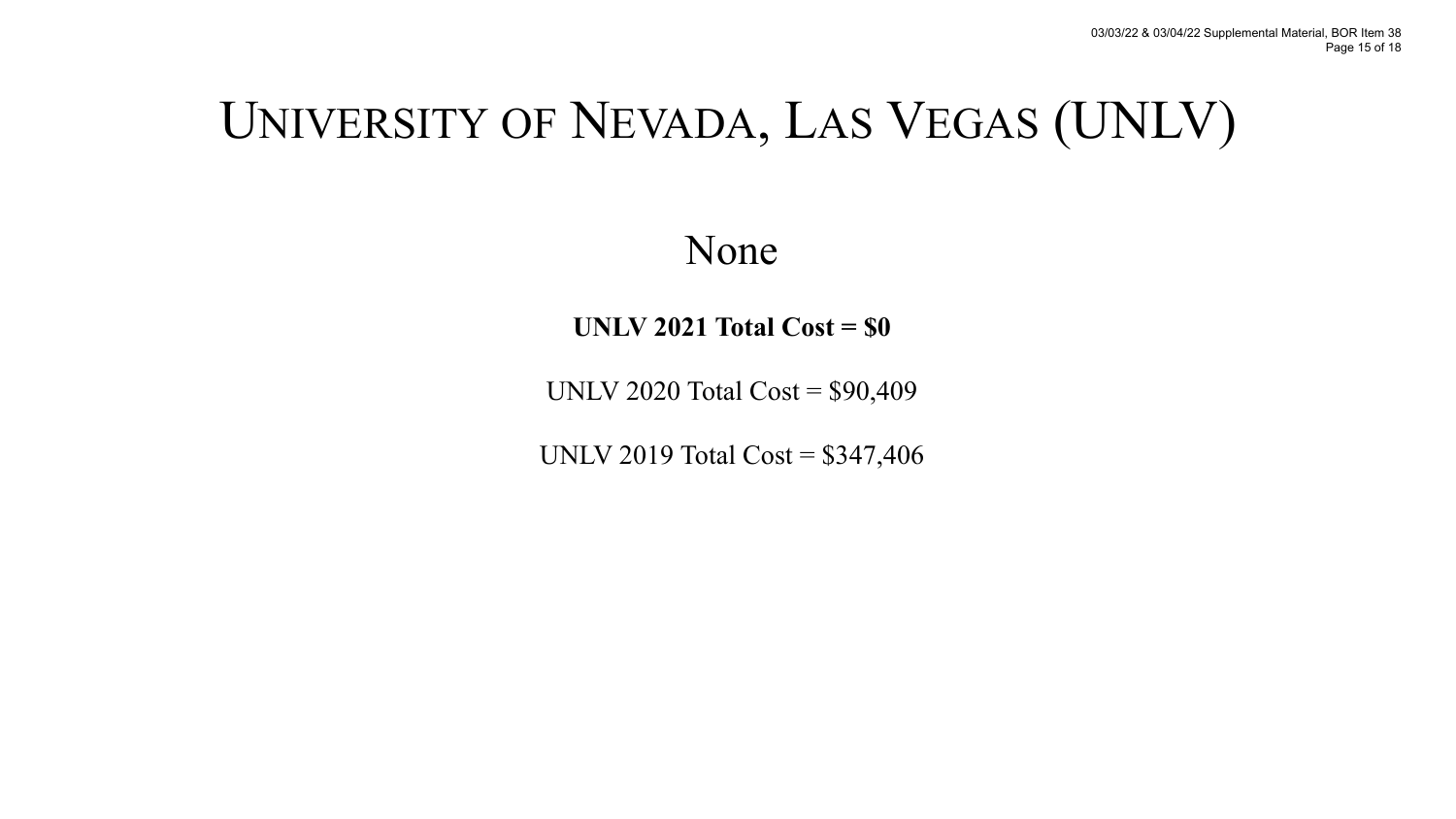# UNIVERSITY OF NEVADA, LAS VEGAS (UNLV)

None

**UNLV 2021 Total Cost = \$0**

UNLV 2020 Total Cost = \$90,409

UNLV 2019 Total Cost = \$347,406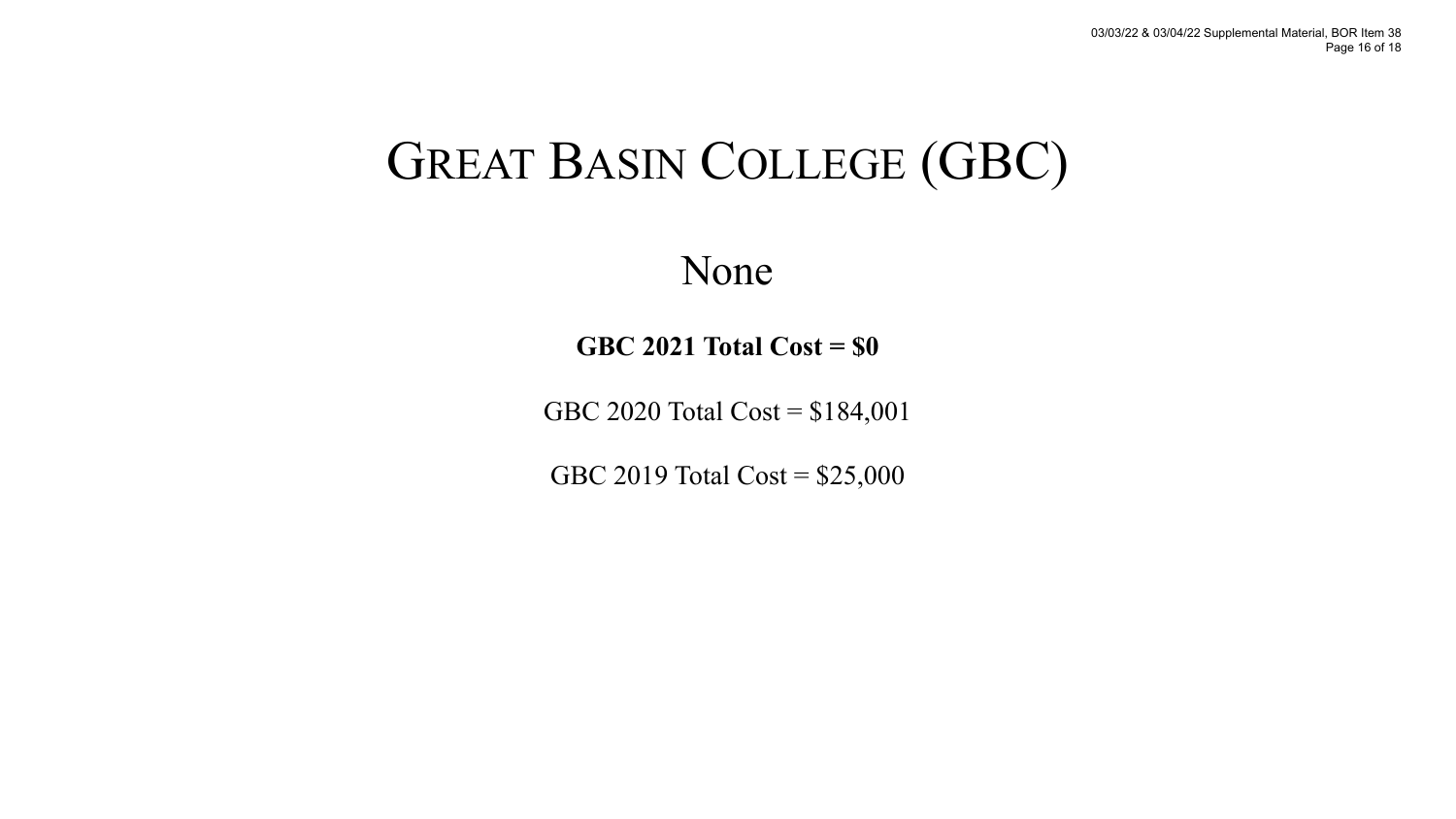# GREAT BASIN COLLEGE (GBC)

None

**GBC 2021 Total Cost = \$0**

GBC 2020 Total Cost = \$184,001

GBC 2019 Total Cost = \$25,000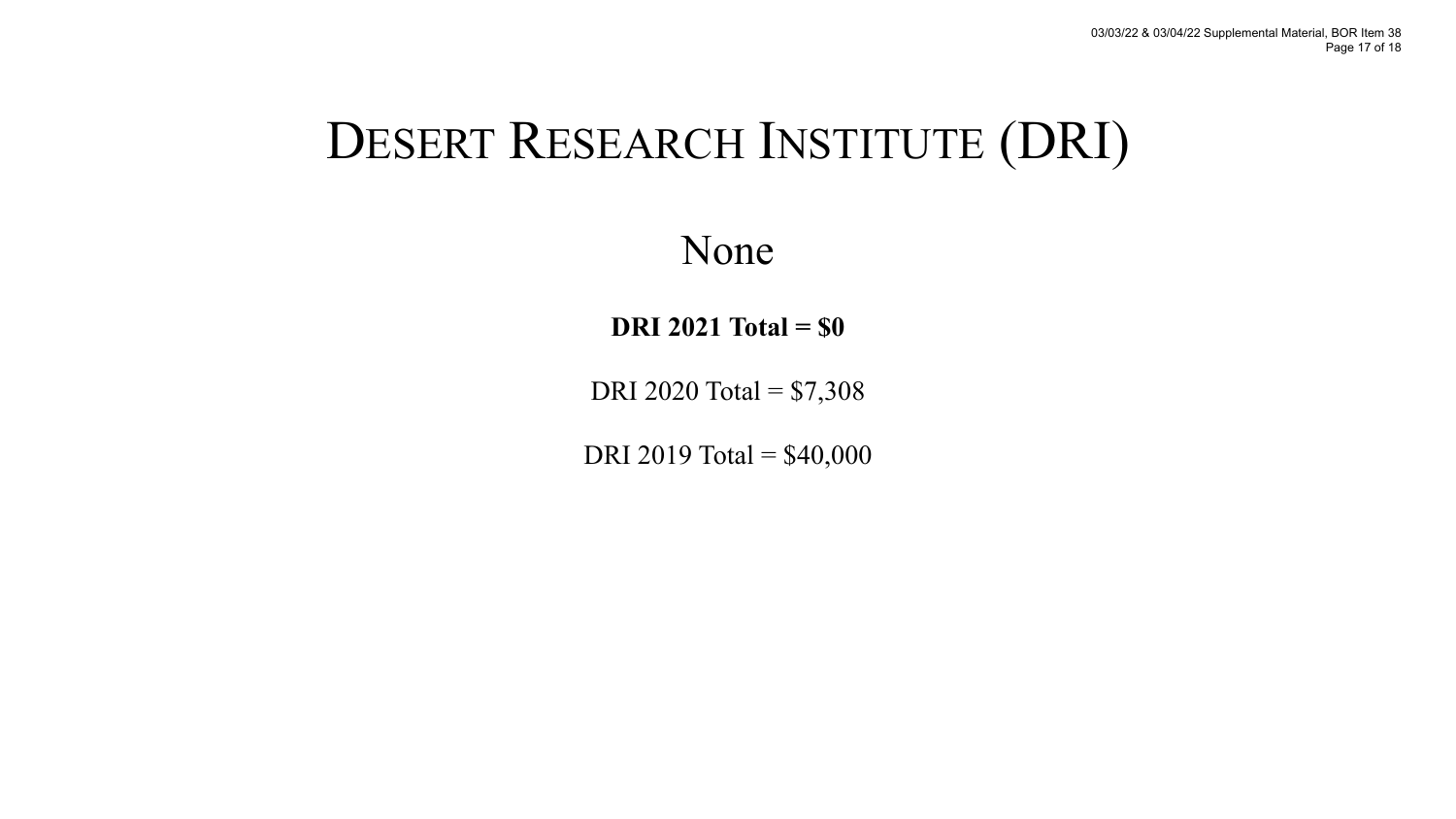# DESERT RESEARCH INSTITUTE (DRI)

None

**DRI 2021 Total = \$0** 

DRI 2020 Total = \$7,308

DRI 2019 Total = \$40,000